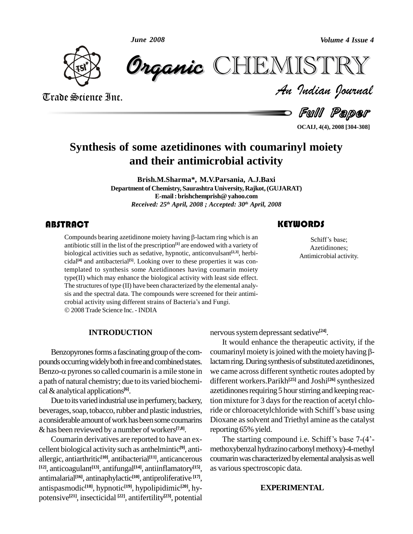*June 2008*



Trade Science Inc.

Trade Science Inc.

*Volume 4 Issue 4*<br> $\begin{array}{l} \blacksquare \begin{array}{l} \blacksquare \ \blacksquare \end{array} \end{array}$   $\begin{array}{l} \blacksquare \begin{array}{l} \blacksquare \end{array}$ CHEMISTRY

Ful Paper

**OCAIJ, 4(4), 2008 [304-308]**

### **Synthesis of some azetidinones with coumarinyl moiety and their antimicrobial activity**

**Brish.M.Sharma\*, M.V.Parsania, A.J.Baxi Department of Chemistry, Saurashtra University, Rajkot,(GUJARAT) E-mail:brishchemprish@yahoo.com** *Received: 25 th April, 2008 ; Accepted: 30 th April, 2008*

Compounds bearing az<br>antibiotic still in the lis<br>biological activities su **RACT**<br>Compounds bearing azetidinone moiety having  $\beta$ -lactam ring which is an antibiotic still in the list of the prescription **[1]** are endowed with a variety of biological activities such as sedative, hypnotic, anticonvulsant **[2,3]**, herbi cidal **[4]** and antibacterial **[5]**. Looking over to these properties itwas contemplated to synthesis some Azetidinones having coumarin moiety type(II) which may enhance the biological activity with least side effect. The structures of type (II) have been characterized by the elemental analy-<br>sis and the spectral data. The compounds were screened for their antimi-<br>crobial activity using different strains of Bacteria's and Fungi. sis and the spectral data. The compounds were screened for their antimi- 2008 Trade Science Inc. - INDIA

#### **INTRODUCTION**

Benzopyrones forms a fascinating group of the compounds occurring widely both in free and combined states. lad Benzopyrones forms a fascinating group of the com-<br>pounds occurring widely both in free and combined states. lactam in<br>Benzo- $\alpha$  pyrones so called coumarin is a mile stone in we can a path of natural chemistry; due to its varied biochemi cal&analytical applications **[6]**.

Due to its varied industrial use in perfumery, backery, a considerable amount of work has been some coumarins &has been reviewed by a number of workers **[7,8]**.

Coumarin derivatives are reported to have an ex cellent biological activity such as anthelmintic **[9]**, anti allergic, antiarthritic **[10]**, antibacterial **[11]**, anticancerous **[12]**, anticoagulant **[13]**, antifungal **[14]**, antiinflamatory **[15]**, antimalarial **[16]**, antinaphylactic **[10]**, antiproliferative **[17]**, antispasmodic **[18]**, hypnotic **[19]**, hypolipidimic **[20]**, hy potensive **[21]**, insecticidal **[22]**, antifertility **[23]**, potential

**KEYWORDS**<br>Schiff's base;

Schiff's base;<br>Azetidinones;<br>Antimicrobial activity. Azetidinones;

nervous system depressant sedative<sup>[24]</sup>.

beverages, soap, tobacco, rubber and plastic industries, ride or chloroacetylchloride with Schiff's base using It would enhance the therapeutic activity, if the coumarinyl moiety is joined with the moiety having  $\beta$ lactam ring. During synthesis of substituted azetidinones, we came across different synthetic routes adopted by different workers.Parikh **[25]** and Joshi **[26]**synthesized azetidinones requiring 5 hour stirring and keeping reaction mixture for 3 days for the reaction of acetyl chloazetidinones requiring 5 hour stirring and keeping reaction mixture for 3 days for the reaction of acetyl chlo-<br>ride or chloroacetylchloride with Schiff's base using Dioxane as solvent and Triethyl amine as the catalyst reporting 65% yield.

> The starting compound i.e. Schiff's base  $7-(4)$ methoxybenzal hydrazino carbonyl methoxy)-4-methyl coumarin was characterized by elemental analysis as well as various spectroscopic data.

#### **EXPERIMENTAL**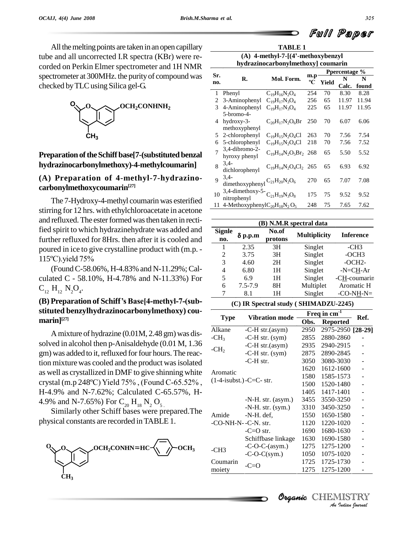All the melting points are taken in an open capillary tube and all uncorrected I.R spectra (KBr) were re corded on Perkin Elmer spectrometer and 1H NMR spectrometer at 300MHz. the purityof compound was checked by TLC using Silica gel-G.



### **PreparationoftheSchiff base[7-(substituted benzal hydrazinocarbonylmethoxy)-4-methylcoumarin]**

### **(A) Preparation of 4-methyl-7-hydrazino carbonylmethoxycoumarin [27]**

The 7-Hydroxy-4-methyl coumarin was esterified stirring for 12 hrs. with ethylchloroacetate in acetone and refluxed. The ester formed was then taken in rectified spirit to which hydrazinehydrate was added and further refluxed for 8Hrs. then after it is cooled and poured in ice to give crystalline product with (m.p. further refluxed for 8Hrs. then af<br>poured in ice to give crystalline p<br>115°C).yield 75%

(FoundC-58.06%, H-4.83% and N-11.29%;Cal culated C - 58.10%, H-4.78% and N-11.33%) For  $C_{12} H_{12} N_2 O_4.$ 

### **(B) Preparation of SchiffísBase[4-methyl-7-(sub stituted benzylhydrazinocarbonylmethoxy) cou marin] [27]**

Amixture of hydrazine (0.01M, 2.48 gm) was dis solved in alcohol then p-Anisaldehyde (0.01 M, 1.36 gm) was added to it, refluxed for four hours. The reaction mixture was cooled and the product was isolated<br>as well as crystallized in DMF to give shinning white Aromatic<br>crystal (m.p 248°C) Yield 75%, (Found C-65.52%, (1-4-isubst.)as well as crystallized in DMF to give shinning white H-4.9% and N-7.62%; Calculated C-65.57%, H- 4.9% and N-7.65%) For  $C_{20}$  H<sub>18</sub> N<sub>2</sub> O<sub>5</sub>.<br>Similarly other Schiff bases were prepared.The

physical constants are recorded inTABLE 1.



**TABLE 1 (A) 4-methyl-7-[(4í-methoxybenzyl**

| hydrazinocarbonylmethoxy] coumarin |                                       |                              |                    |               |       |       |  |  |  |
|------------------------------------|---------------------------------------|------------------------------|--------------------|---------------|-------|-------|--|--|--|
|                                    |                                       |                              |                    | Ppercentage % |       |       |  |  |  |
| Sr.<br>no.                         | R.                                    | Mol. Form.                   | m.p<br>$\rm ^{o}C$ | Yield         | N     | N     |  |  |  |
|                                    |                                       |                              |                    |               | Calc. | found |  |  |  |
| 1                                  | Phenyl                                | $C_{19}H_{16}N_2O_4$         | 254                | 70            | 8.30  | 8.28  |  |  |  |
| 2                                  | 3-Aminophenyl                         | $C_{19}H_{17}N_3O_4$         | 256                | 65            | 11.97 | 11.94 |  |  |  |
| 3                                  | 4-Aminophenyl                         | $C_{19}H_{17}N_3O_4$         | 225                | 65            | 11.97 | 11.95 |  |  |  |
|                                    | 5-bromo-4-                            |                              |                    |               |       |       |  |  |  |
| 4                                  | $hydroxy-3-$                          | $C_{20}H_{17}N_2O_6Br$       | 250                | 70            | 6.07  | 6.06  |  |  |  |
|                                    | methoxyphenyl                         |                              |                    |               |       |       |  |  |  |
| 5                                  | 2-chlorophenyl                        | $C_{19}H_{15}N_2O_4Cl$       | 263                | 70            | 7.56  | 7.54  |  |  |  |
| 6                                  | 5-chlorophenyl                        | $C_{19}H_{15}N_2O_4Cl$       | 218                | 70            | 7.56  | 7.52  |  |  |  |
| 7                                  | 3,4-dibromo-2-                        | $C_{19}H_{14}N_2O_5Br_2$ 268 |                    | 65            | 5.50  | 5.52  |  |  |  |
|                                    | hyroxy phenyl                         |                              |                    |               |       |       |  |  |  |
| 8                                  | $3,4-$                                | $C_{19}H_{14}N_2O_4Cl_2$ 265 |                    | 65            | 6.93  | 6.92  |  |  |  |
|                                    | dichlorophenyl                        |                              |                    |               |       |       |  |  |  |
| 9                                  | $3,4-$                                | $C_{21}H_{20}N_2O_6$         | 270                | 65            | 7.07  | 7.08  |  |  |  |
|                                    | dimethoxyphenyl                       |                              |                    |               |       |       |  |  |  |
| 10                                 | 3,4-dimethoxy-5- $C_{21}H_{19}N_3O_8$ |                              | 175                | 75            | 9.52  | 9.52  |  |  |  |
|                                    | nitrophenyl                           |                              |                    |               |       |       |  |  |  |
| 11                                 | 4-Methoxyphenyl $C_{20}H_{18}N_2O_5$  |                              | 248                | 75            | 7.65  | 7.62  |  |  |  |

| (B) N.M.R spectral data |                                    |    |                     |                  |  |  |  |  |  |
|-------------------------|------------------------------------|----|---------------------|------------------|--|--|--|--|--|
| <b>Signle</b><br>no.    | No.of<br>$\delta$ p.p.m<br>protons |    | <b>Multiplicity</b> | <b>Inference</b> |  |  |  |  |  |
|                         | 2.35                               | 3H | Singlet             | $-CH3$           |  |  |  |  |  |
| 2                       | 3.75                               | 3H | Singlet             | $-OCH3$          |  |  |  |  |  |
| 3                       | 4.60                               | 2H | Singlet             | $-OCH2-$         |  |  |  |  |  |
| 4                       | 6.80                               | 1H | Singlet             | $-N=CH-Ar$       |  |  |  |  |  |
| 5                       | 6.9                                | 1H | Singlet             | -CH-coumarin     |  |  |  |  |  |
| 6                       | $7.5 - 7.9$                        | 8H | Multiplet           | Aromatic H       |  |  |  |  |  |
|                         | 8.1                                | 1Н | Singlet             | $-CO-NH-N=$      |  |  |  |  |  |

**(C) IR Spectral study ( SHIMADZU-2245)**

|                     |                             | Freq in cm | Ref.              |  |
|---------------------|-----------------------------|------------|-------------------|--|
| <b>Type</b>         | <b>Vibration mode</b>       | Obs.       | <b>Reported</b>   |  |
| Alkane              | $-C-H str.(asym)$           | 2950       | 2975-2950 [28-29] |  |
| $-CH3$              | $-C-H$ str. (sym)           | 2855       | 2880-2860         |  |
|                     | -C-H str.(asym)             | 2935       | 2940-2915         |  |
| $-CH2$              | $-C-H$ str. (sym)           | 2875       | 2890-2845         |  |
|                     | $-C-H$ str.                 | 3050       | 3080-3030         |  |
|                     |                             | 1620       | 1612-1600         |  |
| Aromatic            |                             | 1580       | 1585-1573         |  |
|                     | $(1-4$ -isubst.) -C=C- str. | 1500       | 1520-1480         |  |
|                     |                             | 1405       | 1417-1401         |  |
|                     | $-N-H. str. (asym.)$        | 3455       | 3550-3250         |  |
|                     | $-N-H. str. (sym.)$         | 3310       | 3450-3250         |  |
| Amide               | $-N-H.$ def.                | 1550       | 1650-1580         |  |
| -CO-NH-N--C-N. str. |                             | 1120       | 1220-1020         |  |
|                     | $-C=O$ str.                 | 1690       | 1680-1630         |  |
|                     | Schiffbase linkage          | 1630       | 1690-1580         |  |
| $-CH3$              | $-C-O-C-(asym.)$            | 1275       | 1275-1200         |  |
|                     | $-C-O-C(sym.)$              | 1050       | 1075-1020         |  |
| Coumarin            | $-C=O$                      | 1725       | 1725-1730         |  |
| moiety              |                             | 1275       | 1275-1200         |  |

## Organic CHEMIS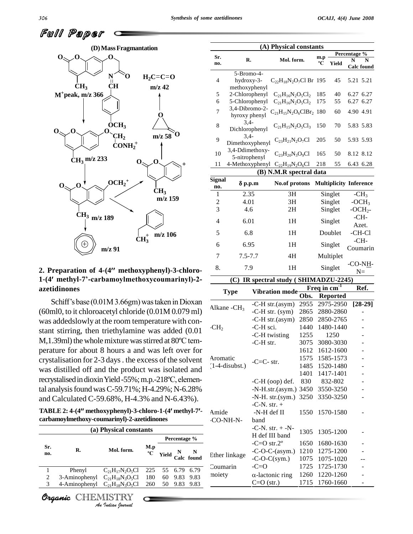

### **2. Preparation of 4-(4 methoxyphenyl)-3-chloro- 1-(4 methyl-7í-carbamoylmethoxycoumarinyl)-2 azetidinones**

Schiff's base (0.01M 3.66gm) was taken in Dioxan (60ml0, to it chloroacetyl chloride (0.01M 0.079 ml) was addedslowly at the room temperature with con-<br>stant stirring, then triethylamine was added (0.01 CH<sub>2</sub><br>M,1.39ml) the whole mixture was stirred at 80<sup>o</sup>C temstant stirring, then triethylamine was added (0.01 perature for about 8 hours a and was left over for crystalisation for 2-3 days. the excess of the solvent was distilled off and the product was isolated and crystalisation for 2-3 days . the excess of the solvent<br>was distilled off and the product was isolated and<br>recrystalised in dioxin Yield -55%; m.p.-218°C, elemental analysisfoundwasC-59.71%; H-4.29%; N-6.28% and Calculated C-59.68%, H-4.3% and N-6.43%). **TABLE 2: 4-(4methoxyphenyl)-3-chloro-1-(4 methyl-7-**

**carbamoylmethoxy-coumarinyl)-2-azetidinones**

|                |                                      |                            |                    |                              | Percentage % | Ether link: |          |
|----------------|--------------------------------------|----------------------------|--------------------|------------------------------|--------------|-------------|----------|
| Sr.<br>no.     | R.                                   | Mol. form.                 | M.p<br>$\rm ^{o}C$ | Yield $\frac{N}{Calc}$ found |              |             |          |
|                | Phenyl                               | $C_{21}H_{17}N_{2}O_{5}Cl$ | 225                |                              | 55 6.79      | 6.79        | Coumarin |
| $\overline{c}$ | 3-Aminophenyl $C_{21}H_{18}N_3O_5Cl$ |                            | 180                | 60.                          | 9.83         | 9.83        | moiety   |
| 3              | 4-Aminophenyl                        | $C_{21}H_{18}N_3O_5Cl$     | 260                | 50                           | 9.83         | 9.83        |          |
|                | Organic CHEMISTRY                    | An Indian Nournal          |                    |                              |              |             |          |

Organic CHEMISTRY

|                         |                                  |                | (A) Physical constants                                                           |              |                          |                               |              |                  |
|-------------------------|----------------------------------|----------------|----------------------------------------------------------------------------------|--------------|--------------------------|-------------------------------|--------------|------------------|
|                         |                                  |                | Mol. form.                                                                       |              |                          |                               | Percentage % |                  |
| Sr.<br>no.              | R.                               |                |                                                                                  |              | m.p<br>°C                | Yield                         | N            | N<br>Calc found  |
|                         | 5-Bromo-4-                       |                |                                                                                  |              |                          |                               |              |                  |
| 4                       | hydroxy-3-                       |                | $C_{22}H_{18}N_2O_7Cl$ Br 195                                                    |              |                          | 45                            |              | 5.21 5.21        |
| 5                       | methoxyphenyl<br>2-Chlorophenyl  |                |                                                                                  | 185          | 40                       |                               | 6.27 6.27    |                  |
| 6                       |                                  |                | $C_{21}H_{16}N_2O_5Cl_2$<br>$C_{21}H_{16}N_2O_5Cl_2$                             |              | 175                      | 55                            |              | 6.27 6.27        |
|                         | 5-Chlorophenyl<br>3,4-Dibromo-2- |                |                                                                                  |              |                          |                               |              |                  |
| 7                       | hyroxy phenyl<br>$3,4-$          |                | $C_{21}H_{15}N_2O_6ClBr_2$ 180                                                   |              |                          | 60                            |              | 4.90 4.91        |
| 8                       | Dichlorophenyl                   |                | $C_{21}H_{15}N_2O_5Cl_3$                                                         |              | 150                      | 70                            |              | 5.83 5.83        |
| 9                       | $3,4-$<br>Dimethoxyphenyl        |                | $C_{23}H_{21}N_2O_7Cl$                                                           |              | 205                      | 50                            |              | 5.93 5.93        |
| 10                      | 3,4-Ddimethoxy-<br>5-nitrophenyl |                | $C_{23}H_{20}N_3O_9Cl$                                                           |              | 165                      | 50                            |              | 8.12 8.12        |
| 11                      |                                  |                | 4-Methoxyphenyl C <sub>22</sub> H <sub>19</sub> N <sub>2</sub> O <sub>6</sub> Cl |              | 218                      | 55                            |              | 6.43 6.28        |
|                         |                                  |                | (B) N.M.R spectral data                                                          |              |                          |                               |              |                  |
| <b>Signal</b>           | δ p.p.m                          |                | No.of protons                                                                    |              |                          | <b>Multiplicity Inference</b> |              |                  |
| no.<br>1                | 2.35                             |                | 3H                                                                               |              |                          | Singlet                       |              | $-CH3$           |
| $\overline{c}$          | 4.01                             |                | 3H                                                                               |              |                          | Singlet                       |              | $-OCH3$          |
| 3                       | 4.6                              |                | 2H                                                                               |              |                          | Singlet                       |              | $-OCH2$          |
|                         |                                  |                |                                                                                  |              |                          |                               | $-CH-$       |                  |
| $\overline{4}$          | 6.01                             |                | 1H                                                                               |              |                          | Singlet                       |              | Azet.            |
| 5                       | 6.8                              |                | 1H                                                                               |              |                          | Doublet                       |              | -CH-Cl           |
| 6                       | 6.95                             |                | 1H                                                                               |              |                          | Singlet                       |              | -CH-<br>Coumarin |
| 7                       | $7.5 - 7.7$                      |                | 4H                                                                               |              |                          | Multiplet                     |              |                  |
| 8.                      | 7.9                              |                | 1H                                                                               |              |                          | Singlet                       |              | $-CO-NH$ -       |
|                         |                                  |                |                                                                                  |              |                          |                               |              | $N =$            |
|                         | (C)                              |                | IR spectral study (SHIMADZU-2245)                                                |              | Freq in cm <sup>-1</sup> |                               |              | Ref.             |
|                         | <b>Type</b>                      |                | Vibration mode-                                                                  | Obs.         |                          | <b>Reported</b>               |              |                  |
|                         |                                  |                | $-C-H str.(asym)$                                                                | 2955         |                          | 2975-2950                     |              | $[28-29]$        |
|                         | Alkane - $CH3$                   |                | $-C-H str. (sym)$                                                                | 2865         |                          | 2880-2860                     |              |                  |
|                         |                                  |                | -C-H str.(asym)                                                                  | 2850         |                          | 2850-2765                     |              |                  |
| $\cdot$ CH <sub>2</sub> |                                  | -C-H sci.      |                                                                                  |              |                          | 1480-1440                     |              |                  |
|                         |                                  | -C-H twisting  |                                                                                  | 1440<br>1255 |                          | 1250                          |              |                  |
|                         |                                  | -C-H str.      |                                                                                  | 3075         |                          | 3080-3030                     |              | -                |
|                         |                                  |                |                                                                                  | 1612         |                          | 1612-1600                     |              |                  |
| Aromatic                |                                  |                |                                                                                  | 1575         |                          | 1585-1573                     |              |                  |
| $(1-4-disubst.)$        |                                  | $-C=C-$ str.   |                                                                                  | 1485         |                          | 1520-1480                     |              |                  |
|                         |                                  |                |                                                                                  | 1401         |                          | 1417-1401                     |              |                  |
|                         |                                  |                | $-C-H$ (oop) def.                                                                | 830          |                          | 832-802                       |              |                  |
|                         |                                  |                | -N-H.str.(asym.)                                                                 | 3450         |                          | 3550-3250                     |              |                  |
|                         |                                  |                | $-N-H. str.(sym.)$                                                               | 3250         |                          | 3350-3250                     |              |                  |
|                         |                                  | $-C-N. str. +$ |                                                                                  |              |                          |                               |              |                  |
| Amide                   |                                  | -N-H def II    |                                                                                  | 1550         |                          | 1570-1580                     |              |                  |
|                         | -CO-NH-N-                        | band           |                                                                                  |              |                          |                               |              |                  |
|                         |                                  |                | $-C-N. str. + -N-$                                                               | 1305         |                          | 1305-1200                     |              |                  |
|                         |                                  |                | H def III band                                                                   |              |                          |                               |              |                  |
|                         |                                  | $-C=O str.2o$  |                                                                                  | 1650         |                          | 1680-1630                     |              |                  |

-C-O-C-(asym.) 1210 1275-1200<br>-C-O-C(sym.) 1075 1075-1020

 $C=O$  (str.) 1715 1760-1660

Coumarin -C=O 1725 1725-1730

moiety  $\alpha$ -lactonic ring -C=O

-C-O-C(sym.) 1075 1075-1020 --

1260 1220-1260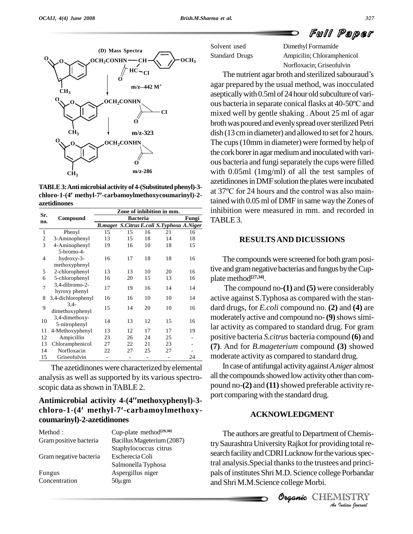### Full Paper

![](_page_3_Figure_3.jpeg)

**chloro-1-(4 methyl-7-carbamoylmethoxycoumarinyl)-2 azetidinones**

|              |                    | Zone of inhibition in mm. |       |    |                                   |    |  |  |  |  |
|--------------|--------------------|---------------------------|-------|----|-----------------------------------|----|--|--|--|--|
| Sr.          | Compound           |                           | Fungi |    |                                   |    |  |  |  |  |
| no.          |                    | <b>B.maget</b>            |       |    | S.Citrus E.coli S.Typhosa A.Niger |    |  |  |  |  |
| $\mathbf{1}$ | Phenyl             | 15                        | 15    | 16 | 21                                | 16 |  |  |  |  |
| 2            | 3-Aminophenyl      | 13                        | 15    | 18 | 14                                | 18 |  |  |  |  |
| 3            | 4-Aminophenyl      | 19                        | 16    | 10 | 18                                | 15 |  |  |  |  |
|              | 5-bromo-4-         |                           |       |    |                                   |    |  |  |  |  |
| 4            | hydroxy-3-         | 16                        | 17    | 18 | 18                                | 16 |  |  |  |  |
|              | methoxyphenyl      |                           |       |    |                                   |    |  |  |  |  |
| 5            | 2-chlorophenyl     | 13                        | 13    | 10 | 20                                | 16 |  |  |  |  |
| 6            | 5-chlorophenyl     | 16                        | 20    | 15 | 13                                | 16 |  |  |  |  |
| 7            | 3,4-dibromo-2-     | 17                        | 19    | 16 | 14                                | 14 |  |  |  |  |
|              | hyroxy phenyl      |                           |       |    |                                   |    |  |  |  |  |
| 8            | 3,4-dichlorophenyl | 16                        | 16    | 10 | 10                                | 14 |  |  |  |  |
| 9            | $3.4 -$            | 15                        | 14    | 20 | 10                                | 16 |  |  |  |  |
|              | dimethoxyphenyl    |                           |       |    |                                   |    |  |  |  |  |
| 10           | 3,4-dimethoxy-     | 14                        | 13    | 12 | 15                                | 16 |  |  |  |  |
|              | 5-nitrophenyl      |                           |       |    |                                   |    |  |  |  |  |
| 11           | 4-Methoxyphenyl    | 13                        | 12    | 17 | 17                                | 19 |  |  |  |  |
| 12           | Ampicillin         | 23                        | 26    | 24 | 25                                |    |  |  |  |  |
| 13           | Chloramphenicol    | 27                        | 22    | 21 | 23                                |    |  |  |  |  |
| 14           | Norfloxacin        | 22                        | 27    | 25 | 27                                |    |  |  |  |  |
| 15           | Griseofulvin       |                           |       |    |                                   | 24 |  |  |  |  |

The azetidinones were characterized by elemental analysis as well as supported by its various spectro scopic data as shown in TABLE 2. **Antimicrobial activity 4-(4methoxyphenyl)-3-**

# scopic data as shown in **1ABLE 2.**<br>**Antimicrobial activity 4-(4″methoxyphenyl)-3-** port<br>chloro-1-(4′ methyl-7′-carbamoylmethoxy**coumarinyl)-2-azetidinones**

| Method :               | Cup-plate method $[29,30]$ |
|------------------------|----------------------------|
| Gram positive bacteria | Bacillus Mageterium (2087) |
|                        | Staphylococcus citrus      |
| Gram negative bacteria | Escherecia Coli            |
|                        | Salmonella Typhosa         |
| Fungus                 | Aspergillus niger          |
| Concentration          | $50\mu$ gm                 |
|                        |                            |

Ampicilin; Chloramphenicol Norfloxacin; Griseofulvin

The nutrient agar broth and sterilized sabouraud's agar prepared by the usual method, was inocculated aseptically with 0.5ml of 24 hour old subculture of various bacteria in separate conical flasks at 40-50ºC and mixed well by gentle shaking . About 25 ml of agar broth was poured and evenly spread over sterilized Petri dish (13 cm in diameter) and allowed to set for 2 hours. The cups(10mm in diameter) were formed by help of the cork borer in agar medium and inoculated with various bacteria and fungi separately the cups were filled with 0.05ml (1mg/ml) of all the test samples of<br>azetidinones in DMF solution the plates were incubated<br>at 37°C for 24 hours and the control was also mainazetidinones in DMF solution the plates were incubated tained with 0.05 ml of DMF in same waytheZones of inhibition were measured in mm. and recorded in TABLE 3.**TABLE3:Antimicrobial activity of 4-(Substituted phenyl)-3-**

### **RESULTSAND DICUSSIONS**

The compounds were screened for both gram positive and gram negative bacterias and fungus by the Cupplate method **[27,34]**.

The compound no-**(1)** and **(5)** were considerably active against S.Typhosa as compared with the stan dard drugs, for *E.coli* compound no. **(2)** and **(4)** are moderately active and compound no-**(9)** shows similar activity as compared to standard drug. For gram positive bacteria *S.citrus* bacteria compound **(6)** and **(7)**. And for *B.mageterium* compound **(3)** showed moderate activity as compared to standard drug.

In case of antifungal activityagainst*A.niger* almost all the compounds showed low activity other than compound no-**(2)** and **(11)**showed preferable activity re-port comparingwith the standard drug.

### **ACKNOWLEDGMENT**

try Saurashtra University Rajkot for providing total re-<br>caserab facility and CDDU unknow fact he vertices and c **Analysis Analysis Angle Control of the various spectral analysis. Special thanks to the trustees and principals of institutes Shri M.D. Science college Porbandar and Shri M.M.Science college Morbi.<br>
<b>CHEMISTRY** The authors are greatful to Department of Chemistral analysis. Special thanks to the trustees and principals of institutes Shri M.D. Science college Porbandar and Shri M.M.Science college Morbi.

![](_page_3_Picture_19.jpeg)